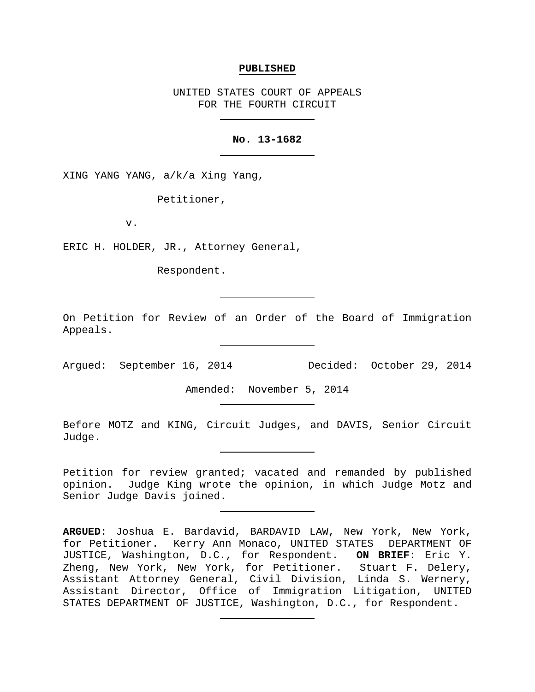#### **PUBLISHED**

UNITED STATES COURT OF APPEALS FOR THE FOURTH CIRCUIT

## **No. 13-1682**

XING YANG YANG, a/k/a Xing Yang,

Petitioner,

v.

ERIC H. HOLDER, JR., Attorney General,

Respondent.

On Petition for Review of an Order of the Board of Immigration Appeals.

Argued: September 16, 2014 Decided: October 29, 2014

Amended: November 5, 2014

Before MOTZ and KING, Circuit Judges, and DAVIS, Senior Circuit Judge.

Petition for review granted; vacated and remanded by published opinion. Judge King wrote the opinion, in which Judge Motz and Senior Judge Davis joined.

**ARGUED**: Joshua E. Bardavid, BARDAVID LAW, New York, New York, for Petitioner. Kerry Ann Monaco, UNITED STATES DEPARTMENT OF JUSTICE, Washington, D.C., for Respondent. **ON BRIEF**: Eric Y. Zheng, New York, New York, for Petitioner. Stuart F. Delery, Assistant Attorney General, Civil Division, Linda S. Wernery, Assistant Director, Office of Immigration Litigation, UNITED STATES DEPARTMENT OF JUSTICE, Washington, D.C., for Respondent.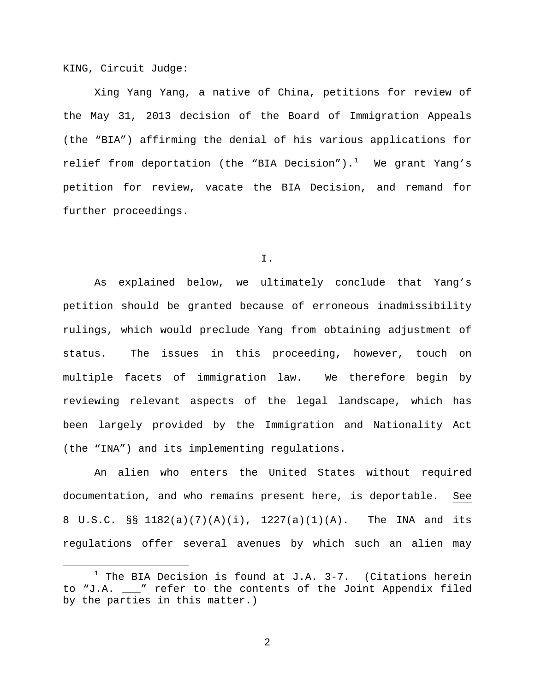KING, Circuit Judge:

Xing Yang Yang, a native of China, petitions for review of the May 31, 2013 decision of the Board of Immigration Appeals (the "BIA") affirming the denial of his various applications for relief from deportation (the "BIA Decision").<sup>[1](#page-1-0)</sup> We grant Yang's petition for review, vacate the BIA Decision, and remand for further proceedings.

I.

As explained below, we ultimately conclude that Yang's petition should be granted because of erroneous inadmissibility rulings, which would preclude Yang from obtaining adjustment of status. The issues in this proceeding, however, touch on multiple facets of immigration law. We therefore begin by reviewing relevant aspects of the legal landscape, which has been largely provided by the Immigration and Nationality Act (the "INA") and its implementing regulations.

An alien who enters the United States without required documentation, and who remains present here, is deportable. See 8 U.S.C. §§ 1182(a)(7)(A)(i), 1227(a)(1)(A). The INA and its regulations offer several avenues by which such an alien may

<span id="page-1-0"></span> $1$  The BIA Decision is found at J.A. 3-7. (Citations herein to "J.A. \_\_\_" refer to the contents of the Joint Appendix filed by the parties in this matter.)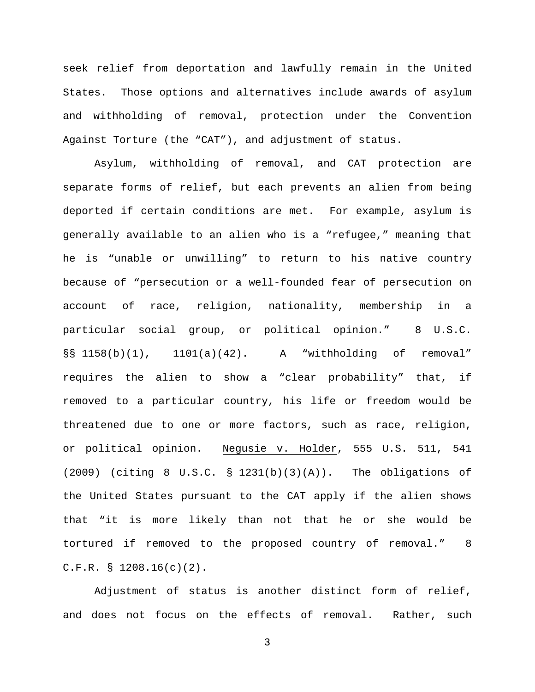seek relief from deportation and lawfully remain in the United States. Those options and alternatives include awards of asylum and withholding of removal, protection under the Convention Against Torture (the "CAT"), and adjustment of status.

Asylum, withholding of removal, and CAT protection are separate forms of relief, but each prevents an alien from being deported if certain conditions are met. For example, asylum is generally available to an alien who is a "refugee," meaning that he is "unable or unwilling" to return to his native country because of "persecution or a well-founded fear of persecution on account of race, religion, nationality, membership in a particular social group, or political opinion." 8 U.S.C. §§ 1158(b)(1), 1101(a)(42). A "withholding of removal" requires the alien to show a "clear probability" that, if removed to a particular country, his life or freedom would be threatened due to one or more factors, such as race, religion, or political opinion. Negusie v. Holder, 555 U.S. 511, 541 (2009) (citing 8 U.S.C. § 1231(b)(3)(A)). The obligations of the United States pursuant to the CAT apply if the alien shows that "it is more likely than not that he or she would be tortured if removed to the proposed country of removal." 8 C.F.R. § 1208.16(c)(2).

Adjustment of status is another distinct form of relief, and does not focus on the effects of removal. Rather, such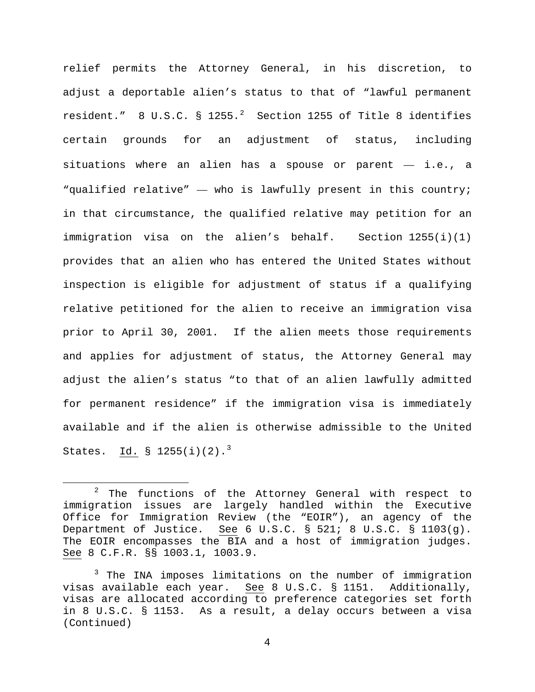relief permits the Attorney General, in his discretion, to adjust a deportable alien's status to that of "lawful permanent resident."  $8 \text{ U.S.C. } \text{ } 3 \text{ } 1255.^2$  $8 \text{ U.S.C. } \text{ } 3 \text{ } 1255.^2$  $8 \text{ U.S.C. } \text{ } 3 \text{ } 1255.^2$  Section 1255 of Title  $8$  identifies certain grounds for an adjustment of status, including situations where an alien has a spouse or parent  $-$  i.e., a "qualified relative" — who is lawfully present in this country; in that circumstance, the qualified relative may petition for an immigration visa on the alien's behalf. Section 1255(i)(1) provides that an alien who has entered the United States without inspection is eligible for adjustment of status if a qualifying relative petitioned for the alien to receive an immigration visa prior to April 30, 2001. If the alien meets those requirements and applies for adjustment of status, the Attorney General may adjust the alien's status "to that of an alien lawfully admitted for permanent residence" if the immigration visa is immediately available and if the alien is otherwise admissible to the United States.  $\underline{\text{Id.}}$  § 1255(i)(2).<sup>[3](#page-3-1)</sup>

<span id="page-3-0"></span> $2$  The functions of the Attorney General with respect to immigration issues are largely handled within the Executive Office for Immigration Review (the "EOIR"), an agency of the Department of Justice. See 6 U.S.C. § 521; 8 U.S.C. § 1103(g). The EOIR encompasses the BIA and a host of immigration judges. See 8 C.F.R. §§ 1003.1, 1003.9.

<span id="page-3-1"></span><sup>&</sup>lt;sup>3</sup> The INA imposes limitations on the number of immigration visas available each year. See 8 U.S.C. § 1151. Additionally, visas are allocated according to preference categories set forth in 8 U.S.C. § 1153. As a result, a delay occurs between a visa (Continued)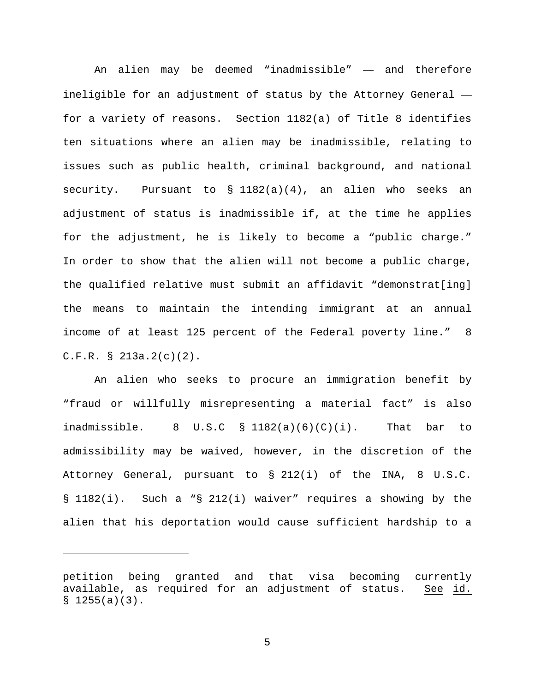An alien may be deemed "inadmissible" — and therefore ineligible for an adjustment of status by the Attorney General for a variety of reasons. Section 1182(a) of Title 8 identifies ten situations where an alien may be inadmissible, relating to issues such as public health, criminal background, and national security. Pursuant to § 1182(a)(4), an alien who seeks an adjustment of status is inadmissible if, at the time he applies for the adjustment, he is likely to become a "public charge." In order to show that the alien will not become a public charge, the qualified relative must submit an affidavit "demonstrat[ing] the means to maintain the intending immigrant at an annual income of at least 125 percent of the Federal poverty line." 8 C.F.R. § 213a.2(c)(2).

An alien who seeks to procure an immigration benefit by "fraud or willfully misrepresenting a material fact" is also inadmissible. 8 U.S.C  $\S$  1182(a)(6)(C)(i). That bar to admissibility may be waived, however, in the discretion of the Attorney General, pursuant to § 212(i) of the INA, 8 U.S.C. § 1182(i). Such a "§ 212(i) waiver" requires a showing by the alien that his deportation would cause sufficient hardship to a

Ĩ.

petition being granted and that visa becoming currently available, as required for an adjustment of status. See id.  $$1255(a)(3)$ .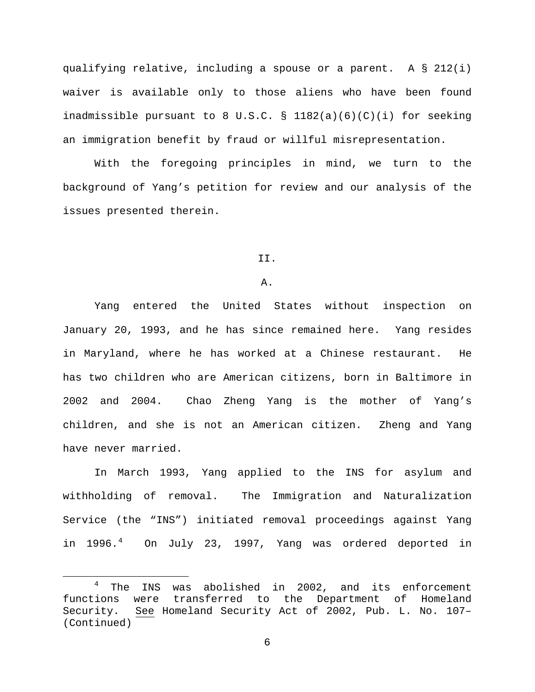qualifying relative, including a spouse or a parent. A § 212(i) waiver is available only to those aliens who have been found inadmissible pursuant to 8 U.S.C. § 1182(a)(6)(C)(i) for seeking an immigration benefit by fraud or willful misrepresentation.

With the foregoing principles in mind, we turn to the background of Yang's petition for review and our analysis of the issues presented therein.

## II.

#### A.

Yang entered the United States without inspection on January 20, 1993, and he has since remained here. Yang resides in Maryland, where he has worked at a Chinese restaurant. He has two children who are American citizens, born in Baltimore in 2002 and 2004. Chao Zheng Yang is the mother of Yang's children, and she is not an American citizen. Zheng and Yang have never married.

In March 1993, Yang applied to the INS for asylum and withholding of removal. The Immigration and Naturalization Service (the "INS") initiated removal proceedings against Yang in 1996.<sup>[4](#page-5-0)</sup> On July 23, 1997, Yang was ordered deported in

<span id="page-5-0"></span><sup>&</sup>lt;sup>4</sup> The INS was abolished in 2002, and its enforcement<br>functions were transferred to the Department of Homeland to the Department of Homeland Security. See Homeland Security Act of 2002, Pub. L. No. 107– (Continued)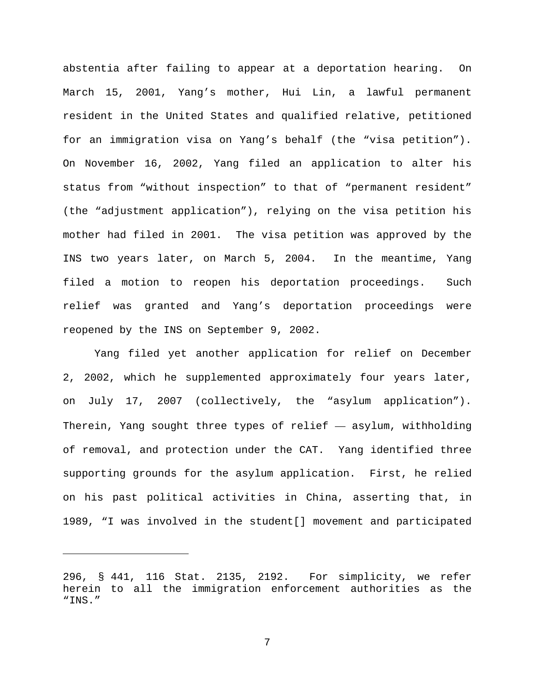abstentia after failing to appear at a deportation hearing. On March 15, 2001, Yang's mother, Hui Lin, a lawful permanent resident in the United States and qualified relative, petitioned for an immigration visa on Yang's behalf (the "visa petition"). On November 16, 2002, Yang filed an application to alter his status from "without inspection" to that of "permanent resident" (the "adjustment application"), relying on the visa petition his mother had filed in 2001. The visa petition was approved by the INS two years later, on March 5, 2004. In the meantime, Yang filed a motion to reopen his deportation proceedings. Such relief was granted and Yang's deportation proceedings were reopened by the INS on September 9, 2002.

Yang filed yet another application for relief on December 2, 2002, which he supplemented approximately four years later, on July 17, 2007 (collectively, the "asylum application"). Therein, Yang sought three types of relief — asylum, withholding of removal, and protection under the CAT. Yang identified three supporting grounds for the asylum application. First, he relied on his past political activities in China, asserting that, in 1989, "I was involved in the student[] movement and participated

Ĩ.

<sup>296, §</sup> 441, 116 Stat. 2135, 2192. For simplicity, we refer herein to all the immigration enforcement authorities as the "INS."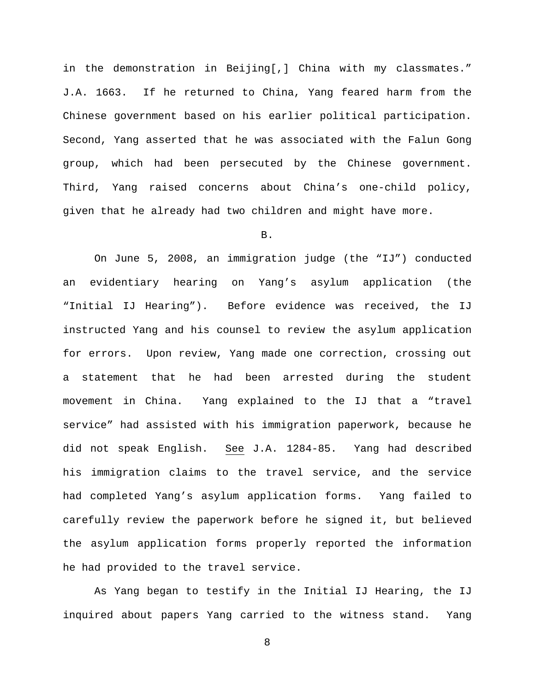in the demonstration in Beijing[,] China with my classmates." J.A. 1663. If he returned to China, Yang feared harm from the Chinese government based on his earlier political participation. Second, Yang asserted that he was associated with the Falun Gong group, which had been persecuted by the Chinese government. Third, Yang raised concerns about China's one-child policy, given that he already had two children and might have more.

B.

On June 5, 2008, an immigration judge (the "IJ") conducted an evidentiary hearing on Yang's asylum application (the "Initial IJ Hearing"). Before evidence was received, the IJ instructed Yang and his counsel to review the asylum application for errors. Upon review, Yang made one correction, crossing out a statement that he had been arrested during the student movement in China. Yang explained to the IJ that a "travel service" had assisted with his immigration paperwork, because he did not speak English. See J.A. 1284-85. Yang had described his immigration claims to the travel service, and the service had completed Yang's asylum application forms. Yang failed to carefully review the paperwork before he signed it, but believed the asylum application forms properly reported the information he had provided to the travel service.

As Yang began to testify in the Initial IJ Hearing, the IJ inquired about papers Yang carried to the witness stand. Yang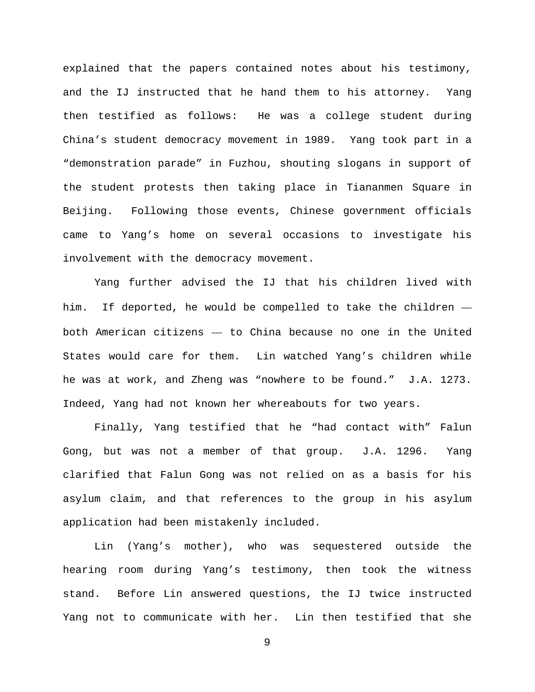explained that the papers contained notes about his testimony, and the IJ instructed that he hand them to his attorney. Yang then testified as follows: He was a college student during China's student democracy movement in 1989. Yang took part in a "demonstration parade" in Fuzhou, shouting slogans in support of the student protests then taking place in Tiananmen Square in Beijing. Following those events, Chinese government officials came to Yang's home on several occasions to investigate his involvement with the democracy movement.

Yang further advised the IJ that his children lived with him. If deported, he would be compelled to take the children both American citizens — to China because no one in the United States would care for them. Lin watched Yang's children while he was at work, and Zheng was "nowhere to be found." J.A. 1273. Indeed, Yang had not known her whereabouts for two years.

Finally, Yang testified that he "had contact with" Falun Gong, but was not a member of that group. J.A. 1296. Yang clarified that Falun Gong was not relied on as a basis for his asylum claim, and that references to the group in his asylum application had been mistakenly included.

Lin (Yang's mother), who was sequestered outside the hearing room during Yang's testimony, then took the witness stand. Before Lin answered questions, the IJ twice instructed Yang not to communicate with her. Lin then testified that she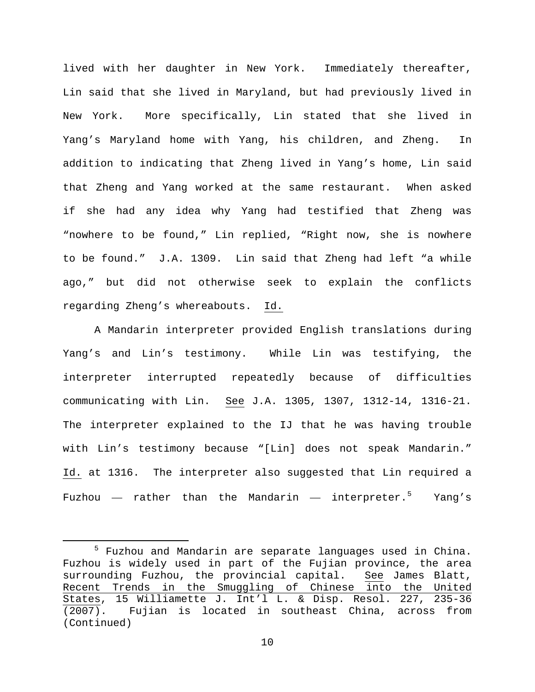lived with her daughter in New York. Immediately thereafter, Lin said that she lived in Maryland, but had previously lived in New York. More specifically, Lin stated that she lived in Yang's Maryland home with Yang, his children, and Zheng. In addition to indicating that Zheng lived in Yang's home, Lin said that Zheng and Yang worked at the same restaurant. When asked if she had any idea why Yang had testified that Zheng was "nowhere to be found," Lin replied, "Right now, she is nowhere to be found." J.A. 1309. Lin said that Zheng had left "a while ago," but did not otherwise seek to explain the conflicts regarding Zheng's whereabouts. Id.

A Mandarin interpreter provided English translations during Yang's and Lin's testimony. While Lin was testifying, the interpreter interrupted repeatedly because of difficulties communicating with Lin. See J.A. 1305, 1307, 1312-14, 1316-21. The interpreter explained to the IJ that he was having trouble with Lin's testimony because "[Lin] does not speak Mandarin." Id. at 1316. The interpreter also suggested that Lin required a Fuzhou — rather than the Mandarin — interpreter. $^5$  $^5$  Yang's

<span id="page-9-0"></span> <sup>5</sup> Fuzhou and Mandarin are separate languages used in China. Fuzhou is widely used in part of the Fujian province, the area<br>surrounding Fuzhou, the provincial capital. See James Blatt, surrounding Fuzhou, the provincial capital. Recent Trends in the Smuggling of Chinese into the United States, 15 Williamette J. Int'l L. & Disp. Resol. 227, 235-36<br>(2007). Fujian is located in southeast China, across from (2007). Fujian is located in southeast China, across from (Continued)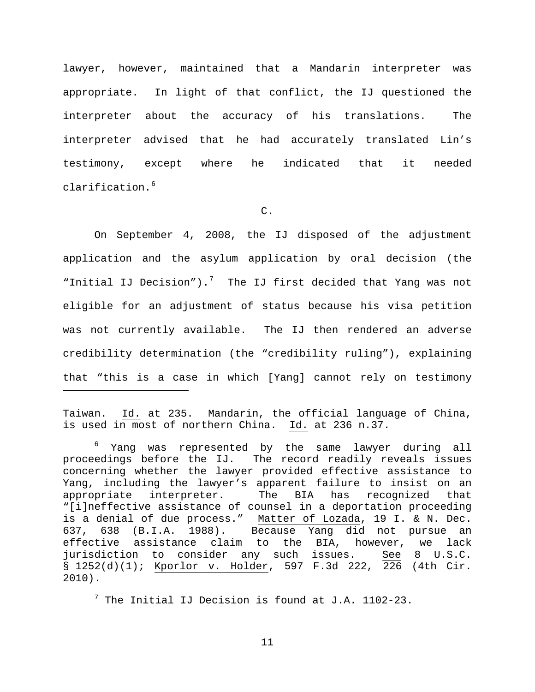lawyer, however, maintained that a Mandarin interpreter was appropriate. In light of that conflict, the IJ questioned the interpreter about the accuracy of his translations. The interpreter advised that he had accurately translated Lin's testimony, except where he indicated that it needed clarification.[6](#page-10-0)

C.

On September 4, 2008, the IJ disposed of the adjustment application and the asylum application by oral decision (the "Initial IJ Decision").<sup>[7](#page-10-1)</sup> The IJ first decided that Yang was not eligible for an adjustment of status because his visa petition was not currently available. The IJ then rendered an adverse credibility determination (the "credibility ruling"), explaining that "this is a case in which [Yang] cannot rely on testimony

Taiwan. Id. at 235. Mandarin, the official language of China, is used in most of northern China. Id. at 236 n.37.

ī

<span id="page-10-0"></span><sup>6</sup> Yang was represented by the same lawyer during all proceedings before the IJ. The record readily reveals issues concerning whether the lawyer provided effective assistance to Yang, including the lawyer's apparent failure to insist on an appropriate interpreter. The BIA has recognized that "[i]neffective assistance of counsel in a deportation proceeding is a denial of due process." Matter of Lozada, 19 I. & N. Dec. 637, 638 (B.I.A. 1988). Because Yang did not pursue an effective assistance claim to the BIA, however, we lack<br>jurisdiction to consider any such issues. See 8 U.S.C. jurisdiction to consider any such issues. § 1252(d)(1); Kporlor v. Holder, 597 F.3d 222, 226 (4th Cir. 2010).

<span id="page-10-1"></span> $^7$  The Initial IJ Decision is found at J.A. 1102-23.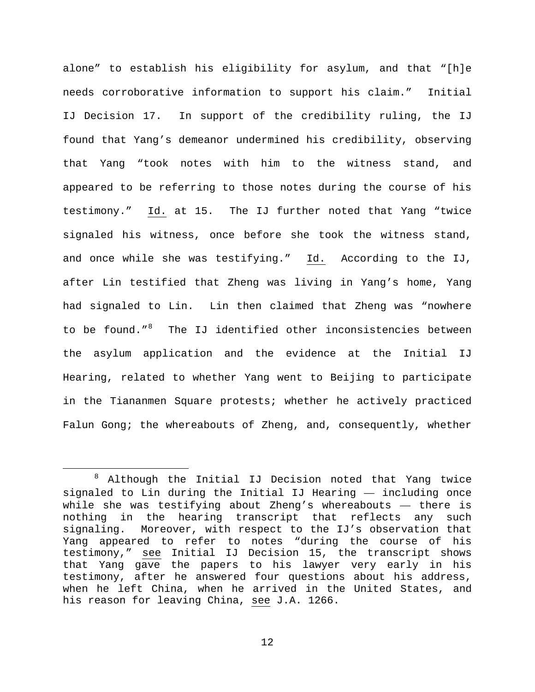alone" to establish his eligibility for asylum, and that "[h]e needs corroborative information to support his claim." Initial IJ Decision 17. In support of the credibility ruling, the IJ found that Yang's demeanor undermined his credibility, observing that Yang "took notes with him to the witness stand, and appeared to be referring to those notes during the course of his testimony." Id. at 15. The IJ further noted that Yang "twice signaled his witness, once before she took the witness stand, and once while she was testifying." Id. According to the IJ, after Lin testified that Zheng was living in Yang's home, Yang had signaled to Lin. Lin then claimed that Zheng was "nowhere to be found."<sup>[8](#page-11-0)</sup> The IJ identified other inconsistencies between the asylum application and the evidence at the Initial IJ Hearing, related to whether Yang went to Beijing to participate in the Tiananmen Square protests; whether he actively practiced Falun Gong; the whereabouts of Zheng, and, consequently, whether

<span id="page-11-0"></span> <sup>8</sup> Although the Initial IJ Decision noted that Yang twice signaled to Lin during the Initial IJ Hearing — including once while she was testifying about Zheng's whereabouts — there is nothing in the hearing transcript that reflects any such signaling. Moreover, with respect to the IJ's observation that Yang appeared to refer to notes "during the course of his testimony," see Initial IJ Decision 15, the transcript shows that Yang gave the papers to his lawyer very early in his testimony, after he answered four questions about his address, when he left China, when he arrived in the United States, and his reason for leaving China, see J.A. 1266.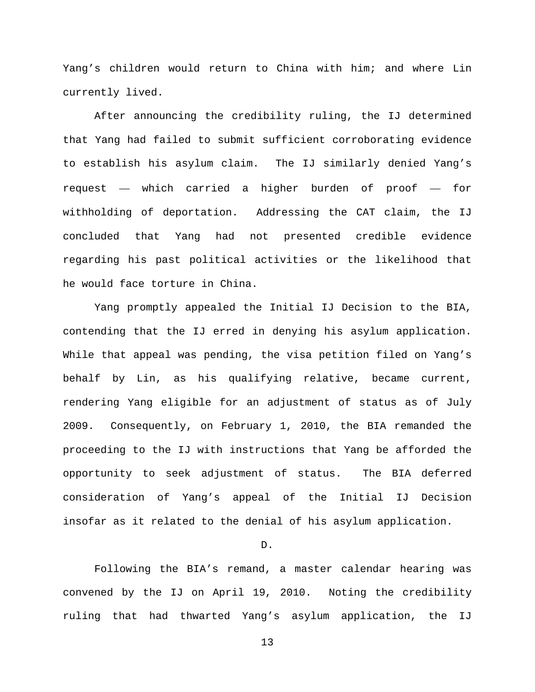Yang's children would return to China with him; and where Lin currently lived.

After announcing the credibility ruling, the IJ determined that Yang had failed to submit sufficient corroborating evidence to establish his asylum claim. The IJ similarly denied Yang's request — which carried a higher burden of proof — for withholding of deportation. Addressing the CAT claim, the IJ concluded that Yang had not presented credible evidence regarding his past political activities or the likelihood that he would face torture in China.

Yang promptly appealed the Initial IJ Decision to the BIA, contending that the IJ erred in denying his asylum application. While that appeal was pending, the visa petition filed on Yang's behalf by Lin, as his qualifying relative, became current, rendering Yang eligible for an adjustment of status as of July 2009. Consequently, on February 1, 2010, the BIA remanded the proceeding to the IJ with instructions that Yang be afforded the opportunity to seek adjustment of status. The BIA deferred consideration of Yang's appeal of the Initial IJ Decision insofar as it related to the denial of his asylum application.

D.

Following the BIA's remand, a master calendar hearing was convened by the IJ on April 19, 2010. Noting the credibility ruling that had thwarted Yang's asylum application, the IJ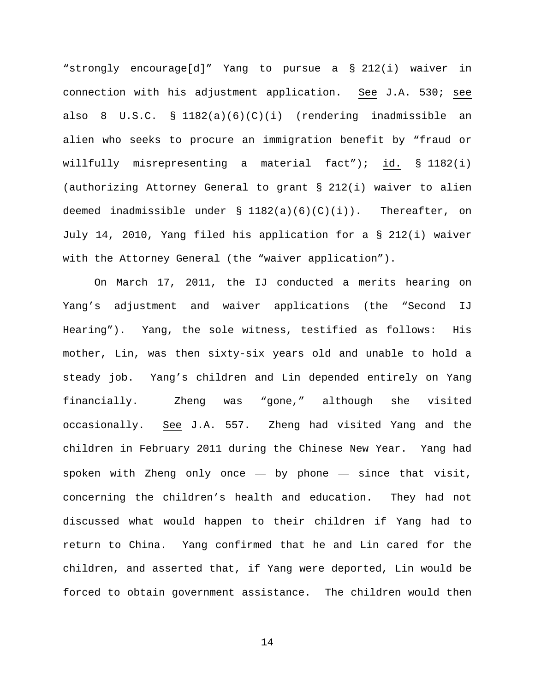"strongly encourage[d]" Yang to pursue a § 212(i) waiver in connection with his adjustment application. See J.A. 530; see also 8 U.S.C. § 1182(a)(6)(C)(i) (rendering inadmissible an alien who seeks to procure an immigration benefit by "fraud or willfully misrepresenting a material fact"); id. § 1182(i) (authorizing Attorney General to grant § 212(i) waiver to alien deemed inadmissible under  $\S$  1182(a)(6)(C)(i)). Thereafter, on July 14, 2010, Yang filed his application for a § 212(i) waiver with the Attorney General (the "waiver application").

On March 17, 2011, the IJ conducted a merits hearing on Yang's adjustment and waiver applications (the "Second IJ Hearing"). Yang, the sole witness, testified as follows: His mother, Lin, was then sixty-six years old and unable to hold a steady job. Yang's children and Lin depended entirely on Yang financially. Zheng was "gone," although she visited occasionally. See J.A. 557. Zheng had visited Yang and the children in February 2011 during the Chinese New Year. Yang had spoken with Zheng only once  $-$  by phone  $-$  since that visit, concerning the children's health and education. They had not discussed what would happen to their children if Yang had to return to China. Yang confirmed that he and Lin cared for the children, and asserted that, if Yang were deported, Lin would be forced to obtain government assistance. The children would then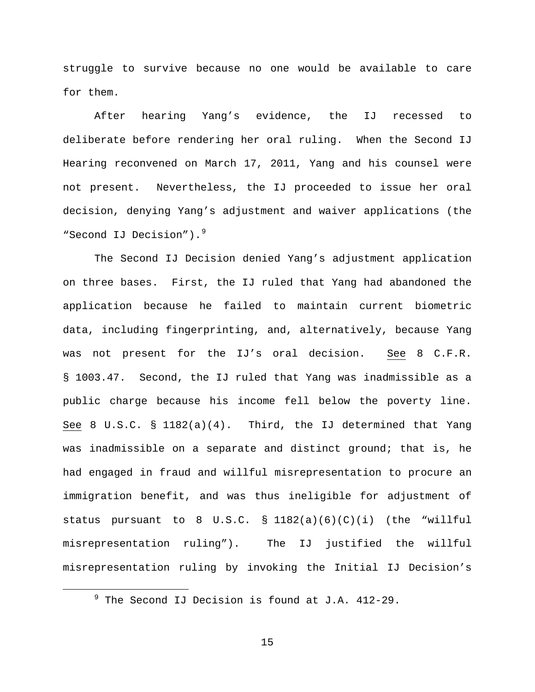struggle to survive because no one would be available to care for them.

After hearing Yang's evidence, the IJ recessed to deliberate before rendering her oral ruling. When the Second IJ Hearing reconvened on March 17, 2011, Yang and his counsel were not present. Nevertheless, the IJ proceeded to issue her oral decision, denying Yang's adjustment and waiver applications (the "Second IJ Decision").<sup>[9](#page-14-0)</sup>

The Second IJ Decision denied Yang's adjustment application on three bases. First, the IJ ruled that Yang had abandoned the application because he failed to maintain current biometric data, including fingerprinting, and, alternatively, because Yang was not present for the IJ's oral decision. See 8 C.F.R. § 1003.47. Second, the IJ ruled that Yang was inadmissible as a public charge because his income fell below the poverty line. See 8 U.S.C. §  $1182(a)(4)$ . Third, the IJ determined that Yang was inadmissible on a separate and distinct ground; that is, he had engaged in fraud and willful misrepresentation to procure an immigration benefit, and was thus ineligible for adjustment of status pursuant to 8 U.S.C.  $\S$  1182(a)(6)(C)(i) (the "willful misrepresentation ruling"). The IJ justified the willful misrepresentation ruling by invoking the Initial IJ Decision's

<span id="page-14-0"></span> $9$  The Second IJ Decision is found at J.A. 412-29.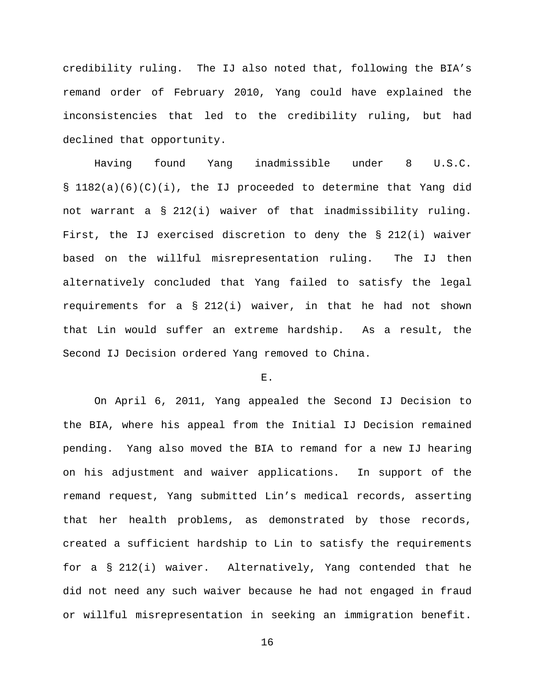credibility ruling. The IJ also noted that, following the BIA's remand order of February 2010, Yang could have explained the inconsistencies that led to the credibility ruling, but had declined that opportunity.

Having found Yang inadmissible under 8 U.S.C. § 1182(a)(6)(C)(i), the IJ proceeded to determine that Yang did not warrant a § 212(i) waiver of that inadmissibility ruling. First, the IJ exercised discretion to deny the § 212(i) waiver based on the willful misrepresentation ruling. The IJ then alternatively concluded that Yang failed to satisfy the legal requirements for a  $\S$  212(i) waiver, in that he had not shown that Lin would suffer an extreme hardship. As a result, the Second IJ Decision ordered Yang removed to China.

## E.

On April 6, 2011, Yang appealed the Second IJ Decision to the BIA, where his appeal from the Initial IJ Decision remained pending. Yang also moved the BIA to remand for a new IJ hearing on his adjustment and waiver applications. In support of the remand request, Yang submitted Lin's medical records, asserting that her health problems, as demonstrated by those records, created a sufficient hardship to Lin to satisfy the requirements for a § 212(i) waiver. Alternatively, Yang contended that he did not need any such waiver because he had not engaged in fraud or willful misrepresentation in seeking an immigration benefit.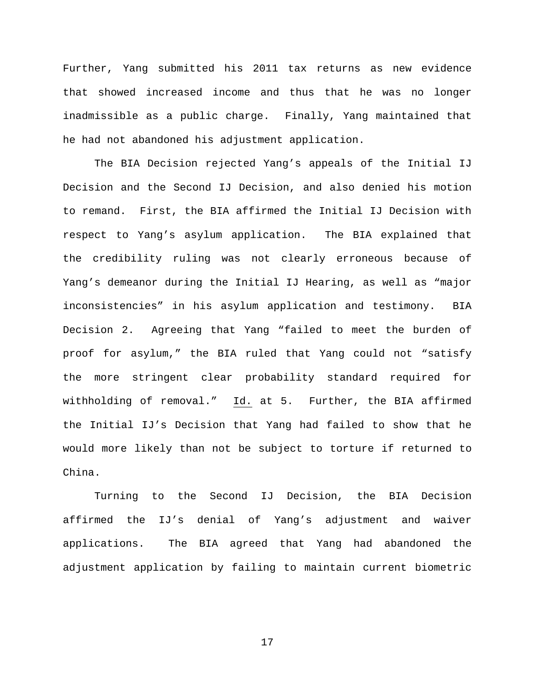Further, Yang submitted his 2011 tax returns as new evidence that showed increased income and thus that he was no longer inadmissible as a public charge. Finally, Yang maintained that he had not abandoned his adjustment application.

The BIA Decision rejected Yang's appeals of the Initial IJ Decision and the Second IJ Decision, and also denied his motion to remand. First, the BIA affirmed the Initial IJ Decision with respect to Yang's asylum application. The BIA explained that the credibility ruling was not clearly erroneous because of Yang's demeanor during the Initial IJ Hearing, as well as "major inconsistencies" in his asylum application and testimony. BIA Decision 2. Agreeing that Yang "failed to meet the burden of proof for asylum," the BIA ruled that Yang could not "satisfy the more stringent clear probability standard required for withholding of removal." Id. at 5. Further, the BIA affirmed the Initial IJ's Decision that Yang had failed to show that he would more likely than not be subject to torture if returned to China.

Turning to the Second IJ Decision, the BIA Decision affirmed the IJ's denial of Yang's adjustment and waiver applications. The BIA agreed that Yang had abandoned the adjustment application by failing to maintain current biometric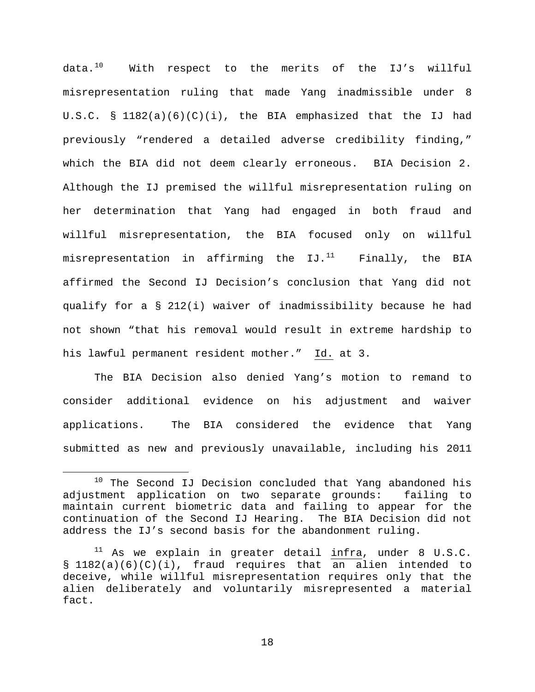data. $^{10}$  $^{10}$  $^{10}$  With respect to the merits of the IJ's willful misrepresentation ruling that made Yang inadmissible under 8 U.S.C. § 1182(a)(6)(C)(i), the BIA emphasized that the IJ had previously "rendered a detailed adverse credibility finding," which the BIA did not deem clearly erroneous. BIA Decision 2. Although the IJ premised the willful misrepresentation ruling on her determination that Yang had engaged in both fraud and willful misrepresentation, the BIA focused only on willful misrepresentation in affirming the  $IJ.$ <sup>[11](#page-17-1)</sup> Finally, the BIA affirmed the Second IJ Decision's conclusion that Yang did not qualify for a § 212(i) waiver of inadmissibility because he had not shown "that his removal would result in extreme hardship to his lawful permanent resident mother." Id. at 3.

The BIA Decision also denied Yang's motion to remand to consider additional evidence on his adjustment and waiver applications. The BIA considered the evidence that Yang submitted as new and previously unavailable, including his 2011

<span id="page-17-0"></span><sup>&</sup>lt;sup>10</sup> The Second IJ Decision concluded that Yang abandoned his adjustment application on two separate grounds: failing to maintain current biometric data and failing to appear for the continuation of the Second IJ Hearing. The BIA Decision did not address the IJ's second basis for the abandonment ruling.

<span id="page-17-1"></span> $11$  As we explain in greater detail  $infra$ , under 8 U.S.C. § 1182(a)(6)(C)(i), fraud requires that an alien intended to deceive, while willful misrepresentation requires only that the alien deliberately and voluntarily misrepresented a material fact.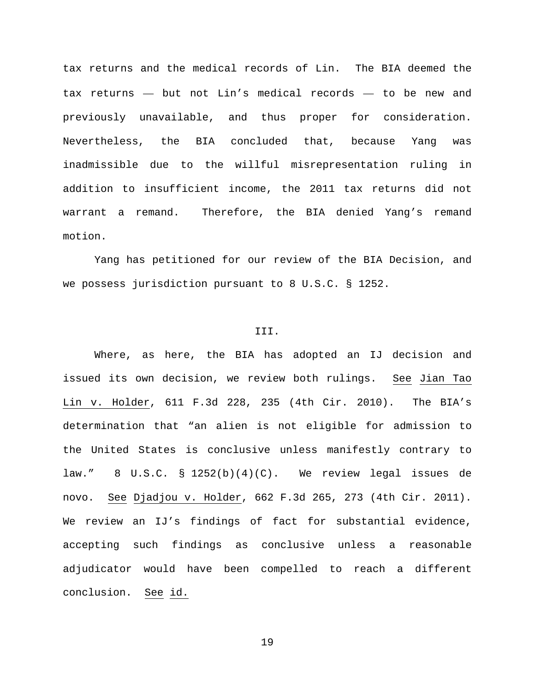tax returns and the medical records of Lin. The BIA deemed the tax returns — but not Lin's medical records — to be new and previously unavailable, and thus proper for consideration. Nevertheless, the BIA concluded that, because Yang was inadmissible due to the willful misrepresentation ruling in addition to insufficient income, the 2011 tax returns did not warrant a remand. Therefore, the BIA denied Yang's remand motion.

Yang has petitioned for our review of the BIA Decision, and we possess jurisdiction pursuant to 8 U.S.C. § 1252.

## III.

Where, as here, the BIA has adopted an IJ decision and issued its own decision, we review both rulings. See Jian Tao Lin v. Holder, 611 F.3d 228, 235 (4th Cir. 2010). The BIA's determination that "an alien is not eligible for admission to the United States is conclusive unless manifestly contrary to law." 8 U.S.C. § 1252(b)(4)(C). We review legal issues de novo. See Djadjou v. Holder, 662 F.3d 265, 273 (4th Cir. 2011). We review an IJ's findings of fact for substantial evidence, accepting such findings as conclusive unless a reasonable adjudicator would have been compelled to reach a different conclusion. See id.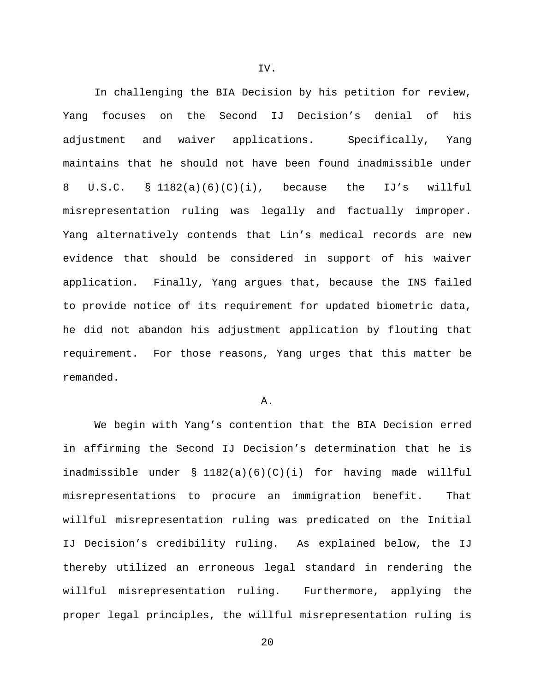In challenging the BIA Decision by his petition for review, Yang focuses on the Second IJ Decision's denial of his adjustment and waiver applications. Specifically, Yang maintains that he should not have been found inadmissible under 8 U.S.C. § 1182(a)(6)(C)(i), because the IJ's willful misrepresentation ruling was legally and factually improper. Yang alternatively contends that Lin's medical records are new evidence that should be considered in support of his waiver application. Finally, Yang argues that, because the INS failed to provide notice of its requirement for updated biometric data, he did not abandon his adjustment application by flouting that requirement. For those reasons, Yang urges that this matter be remanded.

#### A.

We begin with Yang's contention that the BIA Decision erred in affirming the Second IJ Decision's determination that he is inadmissible under § 1182(a)(6)(C)(i) for having made willful misrepresentations to procure an immigration benefit. That willful misrepresentation ruling was predicated on the Initial IJ Decision's credibility ruling. As explained below, the IJ thereby utilized an erroneous legal standard in rendering the willful misrepresentation ruling. Furthermore, applying the proper legal principles, the willful misrepresentation ruling is

IV.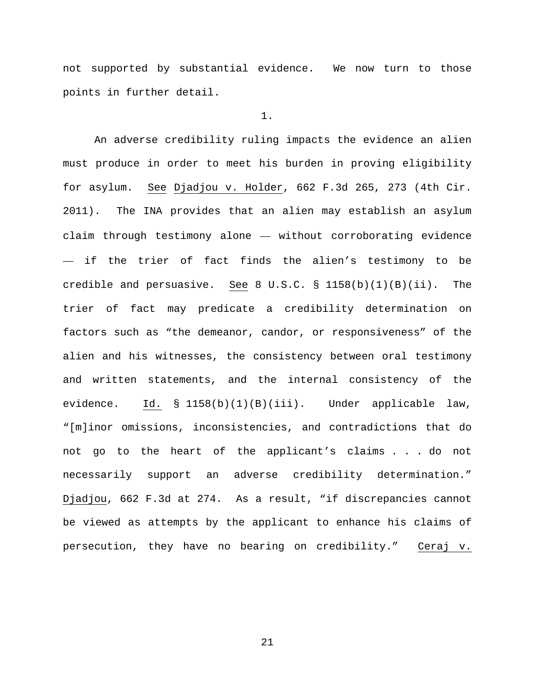not supported by substantial evidence. We now turn to those points in further detail.

#### 1.

An adverse credibility ruling impacts the evidence an alien must produce in order to meet his burden in proving eligibility for asylum. See Djadjou v. Holder, 662 F.3d 265, 273 (4th Cir. 2011). The INA provides that an alien may establish an asylum claim through testimony alone — without corroborating evidence — if the trier of fact finds the alien's testimony to be credible and persuasive. See 8 U.S.C. § 1158(b)(1)(B)(ii). The trier of fact may predicate a credibility determination on factors such as "the demeanor, candor, or responsiveness" of the alien and his witnesses, the consistency between oral testimony and written statements, and the internal consistency of the evidence. Id. § 1158(b)(1)(B)(iii). Under applicable law, "[m]inor omissions, inconsistencies, and contradictions that do not go to the heart of the applicant's claims . . . do not necessarily support an adverse credibility determination." Djadjou, 662 F.3d at 274. As a result, "if discrepancies cannot be viewed as attempts by the applicant to enhance his claims of persecution, they have no bearing on credibility." Ceraj v.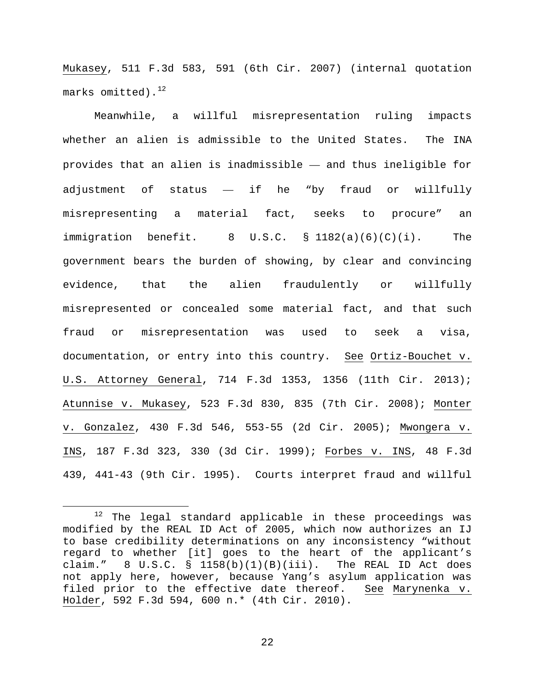Mukasey, 511 F.3d 583, 591 (6th Cir. 2007) (internal quotation marks omitted). $12$ 

Meanwhile, a willful misrepresentation ruling impacts whether an alien is admissible to the United States. The INA provides that an alien is inadmissible — and thus ineligible for adjustment of status — if he "by fraud or willfully misrepresenting a material fact, seeks to procure" an immigration benefit. 8 U.S.C. § 1182(a)(6)(C)(i). The government bears the burden of showing, by clear and convincing evidence, that the alien fraudulently or willfully misrepresented or concealed some material fact, and that such fraud or misrepresentation was used to seek a visa, documentation, or entry into this country. See Ortiz-Bouchet v. U.S. Attorney General, 714 F.3d 1353, 1356 (11th Cir. 2013); Atunnise v. Mukasey, 523 F.3d 830, 835 (7th Cir. 2008); Monter v. Gonzalez, 430 F.3d 546, 553-55 (2d Cir. 2005); Mwongera v. INS, 187 F.3d 323, 330 (3d Cir. 1999); Forbes v. INS, 48 F.3d 439, 441-43 (9th Cir. 1995). Courts interpret fraud and willful

<span id="page-21-0"></span> $12$  The legal standard applicable in these proceedings was modified by the REAL ID Act of 2005, which now authorizes an IJ to base credibility determinations on any inconsistency "without regard to whether [it] goes to the heart of the applicant's claim."  $8 \text{ U.S.C. } \text{S}$  1158(b)(1)(B)(iii). The REAL ID Act does not apply here, however, because Yang's asylum application was filed prior to the effective date thereof. See Marynenka v. Holder, 592 F.3d 594, 600 n.\* (4th Cir. 2010).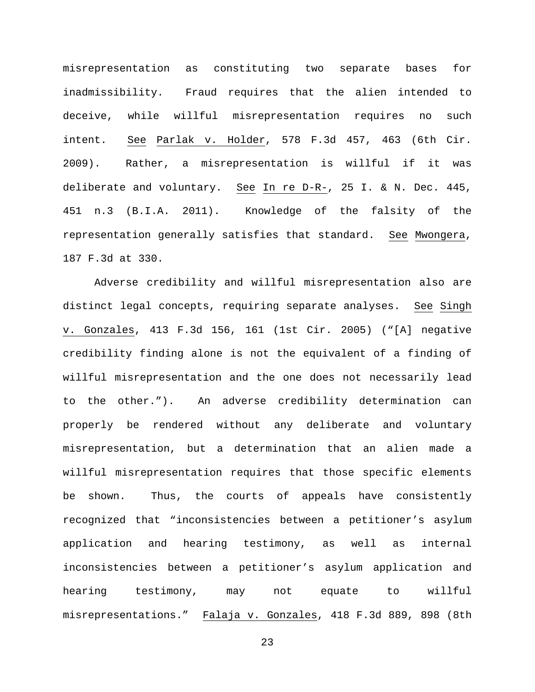misrepresentation as constituting two separate bases for inadmissibility. Fraud requires that the alien intended to deceive, while willful misrepresentation requires no such intent. See Parlak v. Holder, 578 F.3d 457, 463 (6th Cir. 2009). Rather, a misrepresentation is willful if it was deliberate and voluntary. See In re D-R-, 25 I. & N. Dec. 445, 451 n.3 (B.I.A. 2011). Knowledge of the falsity of the representation generally satisfies that standard. See Mwongera, 187 F.3d at 330.

Adverse credibility and willful misrepresentation also are distinct legal concepts, requiring separate analyses. See Singh v. Gonzales, 413 F.3d 156, 161 (1st Cir. 2005) ("[A] negative credibility finding alone is not the equivalent of a finding of willful misrepresentation and the one does not necessarily lead to the other."). An adverse credibility determination can properly be rendered without any deliberate and voluntary misrepresentation, but a determination that an alien made a willful misrepresentation requires that those specific elements be shown. Thus, the courts of appeals have consistently recognized that "inconsistencies between a petitioner's asylum application and hearing testimony, as well as internal inconsistencies between a petitioner's asylum application and hearing testimony, may not equate to willful misrepresentations." Falaja v. Gonzales, 418 F.3d 889, 898 (8th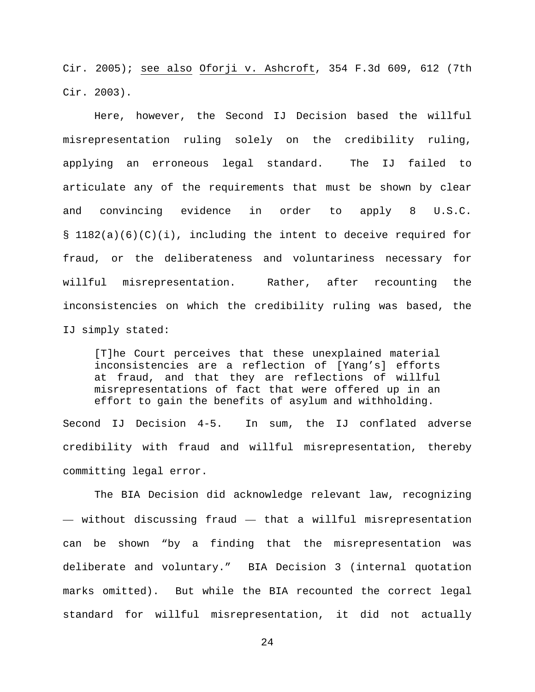Cir. 2005); see also Oforji v. Ashcroft, 354 F.3d 609, 612 (7th Cir. 2003).

Here, however, the Second IJ Decision based the willful misrepresentation ruling solely on the credibility ruling, applying an erroneous legal standard. The IJ failed to articulate any of the requirements that must be shown by clear and convincing evidence in order to apply 8 U.S.C. § 1182(a)(6)(C)(i), including the intent to deceive required for fraud, or the deliberateness and voluntariness necessary for willful misrepresentation. Rather, after recounting the inconsistencies on which the credibility ruling was based, the IJ simply stated:

[T]he Court perceives that these unexplained material inconsistencies are a reflection of [Yang's] efforts at fraud, and that they are reflections of willful misrepresentations of fact that were offered up in an effort to gain the benefits of asylum and withholding.

Second IJ Decision 4-5. In sum, the IJ conflated adverse credibility with fraud and willful misrepresentation, thereby committing legal error.

The BIA Decision did acknowledge relevant law, recognizing — without discussing fraud — that a willful misrepresentation can be shown "by a finding that the misrepresentation was deliberate and voluntary." BIA Decision 3 (internal quotation marks omitted). But while the BIA recounted the correct legal standard for willful misrepresentation, it did not actually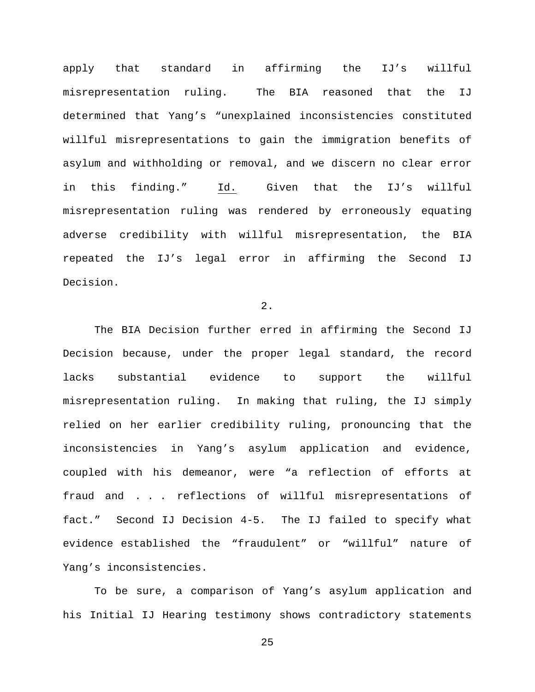apply that standard in affirming the IJ's willful misrepresentation ruling. The BIA reasoned that the IJ determined that Yang's "unexplained inconsistencies constituted willful misrepresentations to gain the immigration benefits of asylum and withholding or removal, and we discern no clear error in this finding." Id. Given that the IJ's willful misrepresentation ruling was rendered by erroneously equating adverse credibility with willful misrepresentation, the BIA repeated the IJ's legal error in affirming the Second IJ Decision.

## 2.

The BIA Decision further erred in affirming the Second IJ Decision because, under the proper legal standard, the record lacks substantial evidence to support the willful misrepresentation ruling. In making that ruling, the IJ simply relied on her earlier credibility ruling, pronouncing that the inconsistencies in Yang's asylum application and evidence, coupled with his demeanor, were "a reflection of efforts at fraud and . . . reflections of willful misrepresentations of fact." Second IJ Decision 4-5. The IJ failed to specify what evidence established the "fraudulent" or "willful" nature of Yang's inconsistencies.

To be sure, a comparison of Yang's asylum application and his Initial IJ Hearing testimony shows contradictory statements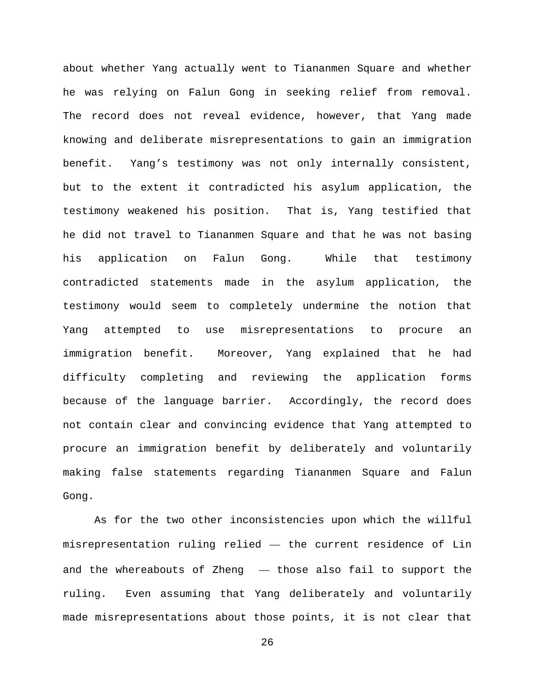about whether Yang actually went to Tiananmen Square and whether he was relying on Falun Gong in seeking relief from removal. The record does not reveal evidence, however, that Yang made knowing and deliberate misrepresentations to gain an immigration benefit. Yang's testimony was not only internally consistent, but to the extent it contradicted his asylum application, the testimony weakened his position. That is, Yang testified that he did not travel to Tiananmen Square and that he was not basing his application on Falun Gong. While that testimony contradicted statements made in the asylum application, the testimony would seem to completely undermine the notion that Yang attempted to use misrepresentations to procure an immigration benefit. Moreover, Yang explained that he had difficulty completing and reviewing the application forms because of the language barrier. Accordingly, the record does not contain clear and convincing evidence that Yang attempted to procure an immigration benefit by deliberately and voluntarily making false statements regarding Tiananmen Square and Falun Gong.

As for the two other inconsistencies upon which the willful misrepresentation ruling relied — the current residence of Lin and the whereabouts of Zheng — those also fail to support the ruling. Even assuming that Yang deliberately and voluntarily made misrepresentations about those points, it is not clear that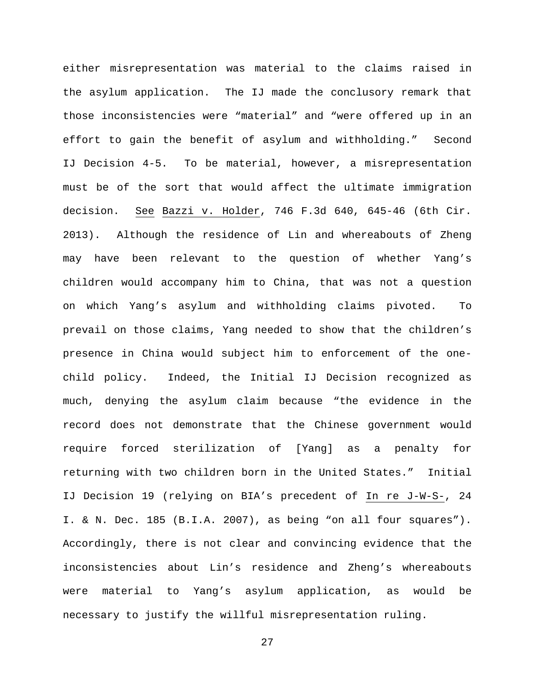either misrepresentation was material to the claims raised in the asylum application. The IJ made the conclusory remark that those inconsistencies were "material" and "were offered up in an effort to gain the benefit of asylum and withholding." Second IJ Decision 4-5. To be material, however, a misrepresentation must be of the sort that would affect the ultimate immigration decision. See Bazzi v. Holder, 746 F.3d 640, 645-46 (6th Cir. 2013). Although the residence of Lin and whereabouts of Zheng may have been relevant to the question of whether Yang's children would accompany him to China, that was not a question on which Yang's asylum and withholding claims pivoted. To prevail on those claims, Yang needed to show that the children's presence in China would subject him to enforcement of the onechild policy. Indeed, the Initial IJ Decision recognized as much, denying the asylum claim because "the evidence in the record does not demonstrate that the Chinese government would require forced sterilization of [Yang] as a penalty for returning with two children born in the United States." Initial IJ Decision 19 (relying on BIA's precedent of In re J-W-S-, 24 I. & N. Dec. 185 (B.I.A. 2007), as being "on all four squares"). Accordingly, there is not clear and convincing evidence that the inconsistencies about Lin's residence and Zheng's whereabouts were material to Yang's asylum application, as would be necessary to justify the willful misrepresentation ruling.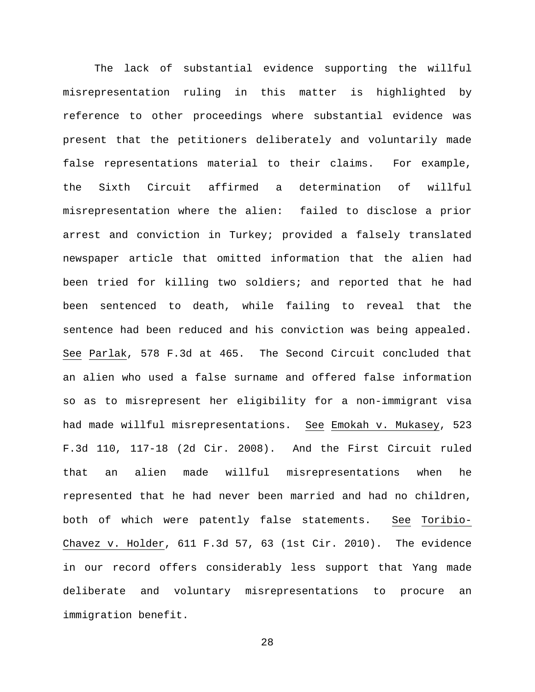The lack of substantial evidence supporting the willful misrepresentation ruling in this matter is highlighted by reference to other proceedings where substantial evidence was present that the petitioners deliberately and voluntarily made false representations material to their claims. For example, the Sixth Circuit affirmed a determination of willful misrepresentation where the alien: failed to disclose a prior arrest and conviction in Turkey; provided a falsely translated newspaper article that omitted information that the alien had been tried for killing two soldiers; and reported that he had been sentenced to death, while failing to reveal that the sentence had been reduced and his conviction was being appealed. See Parlak, 578 F.3d at 465. The Second Circuit concluded that an alien who used a false surname and offered false information so as to misrepresent her eligibility for a non-immigrant visa had made willful misrepresentations. See Emokah v. Mukasey, 523 F.3d 110, 117-18 (2d Cir. 2008). And the First Circuit ruled that an alien made willful misrepresentations when he represented that he had never been married and had no children, both of which were patently false statements. See Toribio-Chavez v. Holder, 611 F.3d 57, 63 (1st Cir. 2010). The evidence in our record offers considerably less support that Yang made deliberate and voluntary misrepresentations to procure an immigration benefit.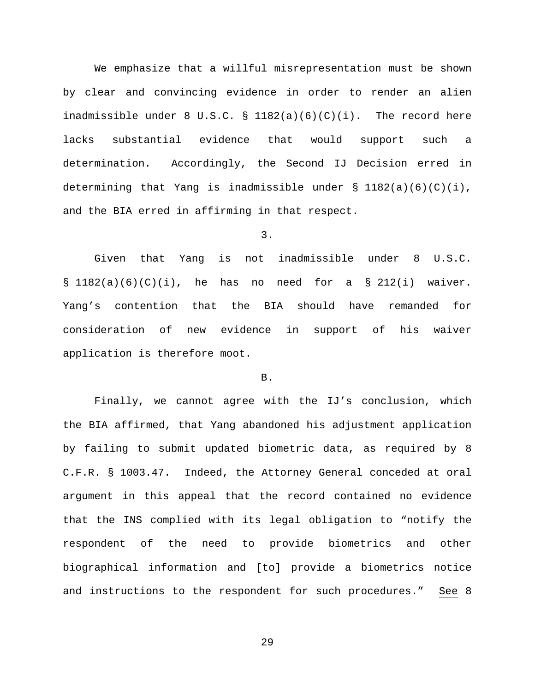We emphasize that a willful misrepresentation must be shown by clear and convincing evidence in order to render an alien inadmissible under 8 U.S.C.  $\S$  1182(a)(6)(C)(i). The record here lacks substantial evidence that would support such a determination. Accordingly, the Second IJ Decision erred in determining that Yang is inadmissible under  $\S$  1182(a)(6)(C)(i), and the BIA erred in affirming in that respect.

3.

Given that Yang is not inadmissible under 8 U.S.C.  $\S$  1182(a)(6)(C)(i), he has no need for a  $\S$  212(i) waiver. Yang's contention that the BIA should have remanded for consideration of new evidence in support of his waiver application is therefore moot.

# B.

Finally, we cannot agree with the IJ's conclusion, which the BIA affirmed, that Yang abandoned his adjustment application by failing to submit updated biometric data, as required by 8 C.F.R. § 1003.47. Indeed, the Attorney General conceded at oral argument in this appeal that the record contained no evidence that the INS complied with its legal obligation to "notify the respondent of the need to provide biometrics and other biographical information and [to] provide a biometrics notice and instructions to the respondent for such procedures." See 8